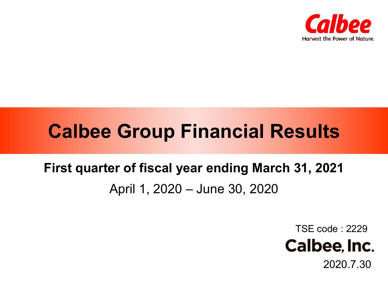

# **Calbee Group Financial Results**

## **First quarter of fiscal year ending March 31, 2021** April 1, 2020 – June 30, 2020

TSE code : 2229



2020.7.30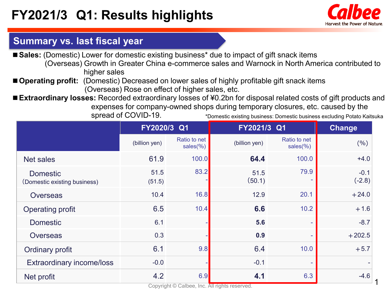

1

## **Summary vs. last fiscal year**

■ Sales: (Domestic) Lower for domestic existing business<sup>\*</sup> due to impact of gift snack items (Overseas) Growth in Greater China e-commerce sales and Warnock in North America contributed to higher sales

■ **Operating profit:** (Domestic) Decreased on lower sales of highly profitable gift snack items (Overseas) Rose on effect of higher sales, etc.

■ **Extraordinary losses:** Recorded extraordinary losses of ¥0.2bn for disposal related costs of gift products and expenses for company-owned shops during temporary closures, etc. caused by the spread of COVID-19. \*Domestic existing business: Domestic business excluding Potato Kaitsuka

|                                                 | FY2020/3 Q1    |                          | FY2021/3 Q1               | <b>Change</b>                 |                    |
|-------------------------------------------------|----------------|--------------------------|---------------------------|-------------------------------|--------------------|
|                                                 | (billion yen)  | Ratio to net<br>sales(%) | (billion yen)             | Ratio to net<br>sales $(\% )$ | (%)                |
| <b>Net sales</b>                                | 61.9           | 100.0                    | 64.4                      | 100.0                         | $+4.0$             |
| <b>Domestic</b><br>(Domestic existing business) | 51.5<br>(51.5) | 83.2                     | 51.5<br>(50.1)            | 79.9                          | $-0.1$<br>$(-2.8)$ |
| <b>Overseas</b>                                 | 10.4           | 16.8                     | 12.9                      | 20.1                          | $+24.0$            |
| <b>Operating profit</b>                         | 6.5            | 10.4                     | 6.6                       | 10.2                          | $+1.6$             |
| <b>Domestic</b>                                 | 6.1            |                          | 5.6                       | $\sim$                        | $-8.7$             |
| <b>Overseas</b>                                 | 0.3            |                          | 0.9                       | ٠                             | $+202.5$           |
| <b>Ordinary profit</b>                          | 6.1            | 9.8                      | 6.4                       | 10.0                          | $+5.7$             |
| <b>Extraordinary income/loss</b>                | $-0.0$         |                          | $-0.1$                    |                               |                    |
| Net profit                                      | 4.2            | 6.9<br>and the state     | 4.1<br>$A \cup B$ and $A$ | 6.3                           | $-4.6$             |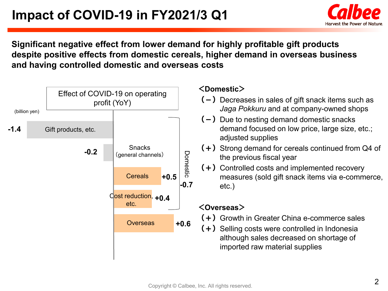

### **Significant negative effect from lower demand for highly profitable gift products despite positive effects from domestic cereals, higher demand in overseas business and having controlled domestic and overseas costs**

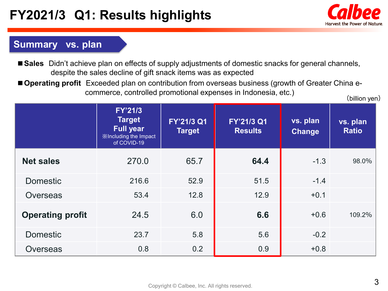## **FY2021/3 Q1: Results highlights**



## **Summary vs. plan**

- Sales Didn't achieve plan on effects of supply adjustments of domestic snacks for general channels, despite the sales decline of gift snack items was as expected
- **Operating profit** Exceeded plan on contribution from overseas business (growth of Greater China ecommerce, controlled promotional expenses in Indonesia, etc.)

(billion yen)

|                         | <b>FY'21/3</b><br><b>Target</b><br><b>Full year</b><br><b>X</b> Including the Impact<br>of COVID-19 | FY'21/3 Q1<br><b>Target</b> | FY'21/3 Q1<br><b>Results</b> | vs. plan<br><b>Change</b> | vs. plan<br><b>Ratio</b> |
|-------------------------|-----------------------------------------------------------------------------------------------------|-----------------------------|------------------------------|---------------------------|--------------------------|
| <b>Net sales</b>        | 270.0                                                                                               | 65.7                        | 64.4                         | $-1.3$                    | 98.0%                    |
| <b>Domestic</b>         | 216.6                                                                                               | 52.9                        | 51.5                         | $-1.4$                    |                          |
| <b>Overseas</b>         | 53.4                                                                                                | 12.8                        | 12.9                         | $+0.1$                    |                          |
| <b>Operating profit</b> | 24.5                                                                                                | 6.0                         | 6.6                          | $+0.6$                    | 109.2%                   |
| <b>Domestic</b>         | 23.7                                                                                                | 5.8                         | 5.6                          | $-0.2$                    |                          |
| <b>Overseas</b>         | 0.8                                                                                                 | 0.2                         | 0.9                          | $+0.8$                    |                          |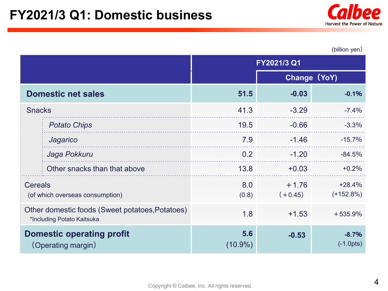

(billion yen)

|                                                                               |                              | FY2021/3 Q1       |                      |                          |  |
|-------------------------------------------------------------------------------|------------------------------|-------------------|----------------------|--------------------------|--|
|                                                                               |                              |                   | Change (YoY)         |                          |  |
| <b>Domestic net sales</b>                                                     |                              | 51.5              | $-0.03$              | $-0.1%$                  |  |
| <b>Snacks</b>                                                                 |                              | 41.3              | $-3.29$              | $-7.4%$                  |  |
|                                                                               | <b>Potato Chips</b>          | 19.5              | $-0.66$              | $-3.3%$                  |  |
|                                                                               | Jagarico                     | 7.9               | $-1.46$              | $-15.7%$                 |  |
|                                                                               | Jaga Pokkuru                 | 0.2               | $-1.20$              | $-84.5%$                 |  |
|                                                                               | Other snacks than that above | 13.8              | $+0.03$              | $+0.2%$                  |  |
| <b>Cereals</b><br>(of which overseas consumption)                             |                              | 8.0<br>(0.8)      | $+1.76$<br>$(+0.45)$ | $+28.4%$<br>$(+152.8\%)$ |  |
| Other domestic foods (Sweet potatoes, Potatoes)<br>*Including Potato Kaitsuka |                              | 1.8               | $+1.53$              | $+535.9%$                |  |
| <b>Domestic operating profit</b><br>(Operating margin)                        |                              | 5.6<br>$(10.9\%)$ | $-0.53$              | $-8.7%$<br>$(-1.0pts)$   |  |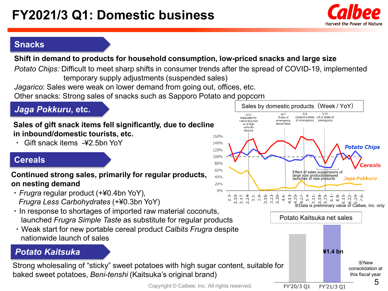

## **Snacks**

#### **Shift in demand to products for household consumption, low-priced snacks and large size**

*Potato Chips:* Difficult to meet sharp shifts in consumer trends after the spread of COVID-19, implemented temporary supply adjustments (suspended sales) *Jagarico*: Sales were weak on lower demand from going out, offices, etc.

Other snacks: Strong sales of snacks such as Sapporo Potato and popcorn

## *Jaga Pokkuru***, etc.**

#### **Sales of gift snack items fell significantly, due to decline in inbound/domestic tourists, etc.**

・ Gift snack items -¥2.5bn YoY

### **Cereals**

#### **Continued strong sales, primarily for regular products, on nesting demand**

- ・ *Frugra* regular product (+¥0.4bn YoY), *Frugra Less Carbohydrates* (+¥0.3bn YoY)
- ・ In response to shortages of imported raw material coconuts, launched *Frugra Simple Taste* as substitute for regular products
- ・ Weak start for new portable cereal product *Calbits Frugra* despite nationwide launch of sales

## *Potato Kaitsuka*

Strong wholesaling of "sticky" sweet potatoes with high sugar content, suitable for baked sweet potatoes, *Beni-tenshi* (Kaitsuka's original brand)





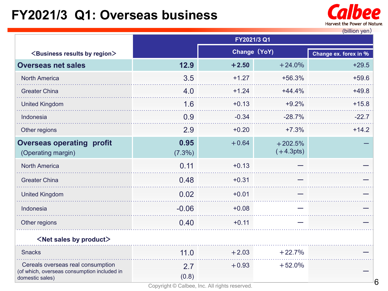## **FY2021/3 Q1: Overseas business**



6

|                                                                                                     | FY2021/3 Q1       |              |                          |         |  |
|-----------------------------------------------------------------------------------------------------|-------------------|--------------|--------------------------|---------|--|
| <business by="" region="" results=""></business>                                                    |                   | Change (YoY) | Change ex. forex in %    |         |  |
| <b>Overseas net sales</b>                                                                           | 12.9              | $+2.50$      | $+24.0%$                 | $+29.5$ |  |
| <b>North America</b>                                                                                | 3.5               | $+1.27$      | $+56.3%$                 | $+59.6$ |  |
| <b>Greater China</b>                                                                                | 4.0               | $+1.24$      | $+44.4%$                 | $+49.8$ |  |
| <b>United Kingdom</b>                                                                               | 1.6               | $+0.13$      | $+9.2%$                  | $+15.8$ |  |
| Indonesia                                                                                           | 0.9               | $-0.34$      | $-28.7%$                 | $-22.7$ |  |
| Other regions                                                                                       | 2.9               | $+0.20$      | $+7.3%$                  | $+14.2$ |  |
| <b>Overseas operating profit</b><br>(Operating margin)                                              | 0.95<br>$(7.3\%)$ | $+0.64$      | $+202.5%$<br>$(+4.3pts)$ |         |  |
| <b>North America</b>                                                                                | 0.11              | $+0.13$      |                          |         |  |
| <b>Greater China</b>                                                                                | 0.48              | $+0.31$      |                          |         |  |
| <b>United Kingdom</b>                                                                               | 0.02              | $+0.01$      |                          |         |  |
| Indonesia                                                                                           | $-0.06$           | $+0.08$      |                          |         |  |
| Other regions                                                                                       | 0.40              | $+0.11$      |                          |         |  |
| <net by="" product="" sales=""></net>                                                               |                   |              |                          |         |  |
| <b>Snacks</b>                                                                                       | 11.0              | $+2.03$      | $+22.7%$                 |         |  |
| Cereals overseas real consumption<br>(of which, overseas consumption included in<br>domestic sales) | 2.7<br>(0.8)      | $+0.93$      | $+52.0%$                 |         |  |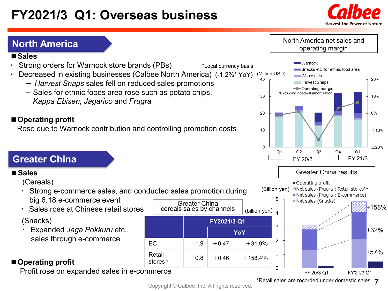## **FY2021/3 Q1: Overseas business**



## **North America**

#### **■Sales**

- Strong orders for Warnock store brands (PBs)
- ・ Decreased in existing businesses (Calbee North America) (-1.2%\* YoY)
	- *Harvest Snaps* sales fell on reduced sales promotions
	- ー Sales for ethnic foods area rose such as potato chips, *Kappa Ebisen, Jagarico* and *Frugra*

#### ■**Derating profit**

Rose due to Warnock contribution and controlling promotion costs

## **Greater China**

#### **■Sales**

(Cereals)

- ・ Strong e-commerce sales, and conducted sales promotion during big 6.18 e-commerce event Greater China
- ・ Sales rose at Chinese retail stores

#### (Snacks)

・ Expanded *Jaga Pokkuru* etc., sales through e-commerce

#### **■Operating profit**

Profit rose on expanded sales in e-commerce



#### North America net sales and operating margin

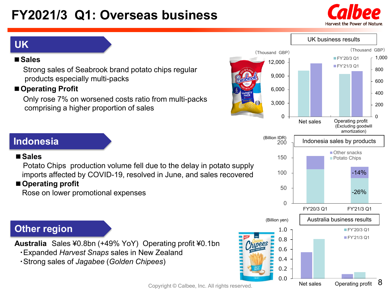## **FY2021/3 Q1: Overseas business**





## **UK**

#### **■Sales**

Strong sales of Seabrook brand potato chips regular products especially multi-packs

### **■Operating Profit**

Only rose 7% on worsened costs ratio from multi-packs comprising a higher proportion of sales

## **Indonesia**

#### **■Sales**

Potato Chips production volume fell due to the delay in potato supply imports affected by COVID-19, resolved in June, and sales recovered

## **■Operating profit**

Rose on lower promotional expenses

## **Other region**

**Australia** Sales ¥0.8bn (+49% YoY) Operating profit ¥0.1bn

- ・Expanded *Harvest Snaps* sales in New Zealand
- ・Strong sales of *Jagabee* (*Golden Chipees*)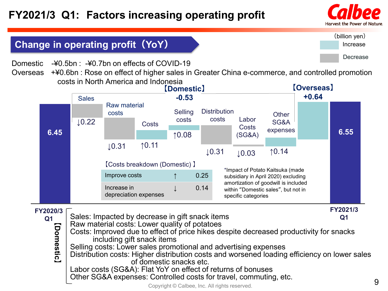

### (billion yen) Increase Decrease

## **Change in operating profit(YoY)**

Domestic -¥0.5bn : -¥0.7bn on effects of COVID-19

Overseas +¥0.6bn : Rose on effect of higher sales in Greater China e-commerce, and controlled promotion costs in North America and Indonesia



**Q1**

**【**

**Domestic**

**】**

**Q1**

- Sales: Impacted by decrease in gift snack items Raw material costs: Lower quality of potatoes
- Costs: Improved due to effect of price hikes despite decreased productivity for snacks including gift snack items

Selling costs: Lower sales promotional and advertising expenses

Distribution costs: Higher distribution costs and worsened loading efficiency on lower sales of domestic snacks etc.

Labor costs (SG&A): Flat YoY on effect of returns of bonuses

Other SG&A expenses: Controlled costs for travel, commuting, etc.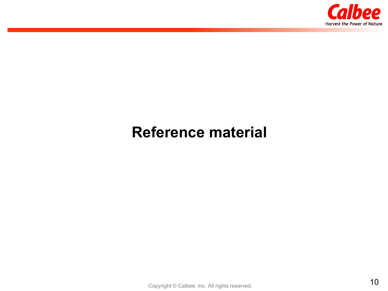

## **Reference material**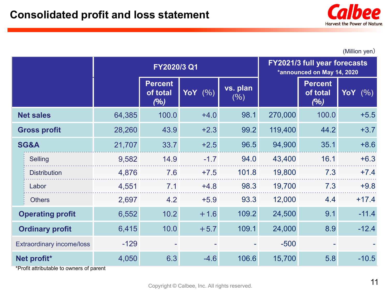

(Million yen)

|                                           |                     | FY2020/3 Q1 |                                   |                     |                 | <b>FY2021/3 full year forecasts</b><br>*announced on May 14, 2020 |                                   |                     |
|-------------------------------------------|---------------------|-------------|-----------------------------------|---------------------|-----------------|-------------------------------------------------------------------|-----------------------------------|---------------------|
|                                           |                     |             | <b>Percent</b><br>of total<br>(%) | <b>YoY</b><br>(9/6) | vs. plan<br>(%) |                                                                   | <b>Percent</b><br>of total<br>(%) | <b>YoY</b><br>(9/6) |
|                                           | <b>Net sales</b>    | 64,385      | 100.0                             | $+4.0$              | 98.1            | 270,000                                                           | 100.0                             | $+5.5$              |
| <b>Gross profit</b>                       |                     | 28,260      | 43.9                              | $+2.3$              | 99.2            | 119,400                                                           | 44.2                              | $+3.7$              |
| SG&A                                      |                     | 21,707      | 33.7                              | $+2.5$              | 96.5            | 94,900                                                            | 35.1                              | $+8.6$              |
|                                           | <b>Selling</b>      | 9,582       | 14.9                              | $-1.7$              | 94.0            | 43,400                                                            | 16.1                              | $+6.3$              |
|                                           | <b>Distribution</b> | 4,876       | 7.6                               | $+7.5$              | 101.8           | 19,800                                                            | 7.3                               | $+7.4$              |
|                                           | Labor               | 4,551       | 7.1                               | $+4.8$              | 98.3            | 19,700                                                            | 7.3                               | $+9.8$              |
|                                           | <b>Others</b>       | 2,697       | 4.2                               | $+5.9$              | 93.3            | 12,000                                                            | 4.4                               | $+17.4$             |
| <b>Operating profit</b>                   |                     | 6,552       | 10.2                              | $+1.6$              | 109.2           | 24,500                                                            | 9.1                               | $-11.4$             |
| <b>Ordinary profit</b>                    |                     | 6,415       | 10.0                              | $+5.7$              | 109.1           | 24,000                                                            | 8.9                               | $-12.4$             |
| <b>Extraordinary income/loss</b>          |                     | $-129$      |                                   |                     |                 | $-500$                                                            |                                   |                     |
| Net profit*<br>*□~~£;+_~++~; ~,.+__ __ +_ |                     | 4,050       | 6.3                               | $-4.6$              | 106.6           | 15,700                                                            | 5.8                               | $-10.5$             |

\*Profit attributable to owners of parent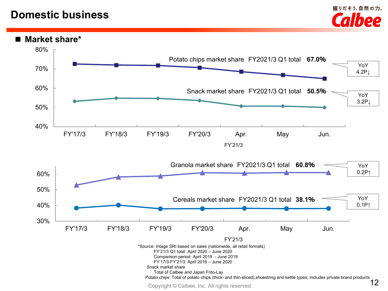## **Domestic business**



#### **■ Market share\***